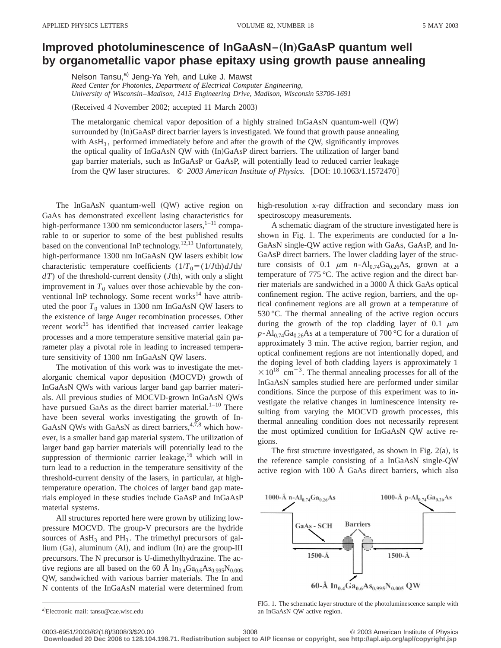## **Improved photoluminescence of InGaAsN–(In)GaAsP quantum well by organometallic vapor phase epitaxy using growth pause annealing**

Nelson Tansu,<sup>a)</sup> Jeng-Ya Yeh, and Luke J. Mawst

*Reed Center for Photonics, Department of Electrical Computer Engineering, University of Wisconsin*–*Madison, 1415 Engineering Drive, Madison, Wisconsin 53706-1691*

(Received 4 November 2002; accepted 11 March 2003)

The metalorganic chemical vapor deposition of a highly strained  $InGaAsN$  quantum-well  $(QW)$ surrounded by (In)GaAsP direct barrier layers is investigated. We found that growth pause annealing with  $\text{AsH}_3$ , performed immediately before and after the growth of the QW, significantly improves the optical quality of InGaAsN QW with (In)GaAsP direct barriers. The utilization of larger band gap barrier materials, such as InGaAsP or GaAsP, will potentially lead to reduced carrier leakage from the QW laser structures. © 2003 American Institute of Physics. [DOI: 10.1063/1.1572470]

The InGaAsN quantum-well (QW) active region on GaAs has demonstrated excellent lasing characteristics for high-performance 1300 nm semiconductor lasers, $1-11$  comparable to or superior to some of the best published results based on the conventional InP technology.<sup>12,13</sup> Unfortunately, high-performance 1300 nm InGaAsN QW lasers exhibit low characteristic temperature coefficients  $(1/T_0 = (1/Jth) dJth/$  $dT$ ) of the threshold-current density (*J*th), with only a slight improvement in  $T_0$  values over those achievable by the conventional InP technology. Some recent works $14$  have attributed the poor  $T_0$  values in 1300 nm InGaAsN QW lasers to the existence of large Auger recombination processes. Other recent work<sup>15</sup> has identified that increased carrier leakage processes and a more temperature sensitive material gain parameter play a pivotal role in leading to increased temperature sensitivity of 1300 nm InGaAsN QW lasers.

The motivation of this work was to investigate the metalorganic chemical vapor deposition (MOCVD) growth of InGaAsN QWs with various larger band gap barrier materials. All previous studies of MOCVD-grown InGaAsN QWs have pursued GaAs as the direct barrier material. $1-10$  There have been several works investigating the growth of In-GaAsN QWs with GaAsN as direct barriers,  $4,7,8$  which however, is a smaller band gap material system. The utilization of larger band gap barrier materials will potentially lead to the suppression of thermionic carrier leakage,<sup>16</sup> which will in turn lead to a reduction in the temperature sensitivity of the threshold-current density of the lasers, in particular, at hightemperature operation. The choices of larger band gap materials employed in these studies include GaAsP and InGaAsP material systems.

All structures reported here were grown by utilizing lowpressure MOCVD. The group-V precursors are the hydride sources of  $\text{AsH}_3$  and  $\text{PH}_3$ . The trimethyl precursors of gallium  $(Ga)$ , aluminum  $(Al)$ , and indium  $(In)$  are the group-III precursors. The N precursor is U-dimethylhydrazine. The active regions are all based on the 60 Å  $In<sub>0.4</sub>Ga<sub>0.6</sub>As<sub>0.995</sub>N<sub>0.005</sub>$ QW, sandwiched with various barrier materials. The In and N contents of the InGaAsN material were determined from

high-resolution x-ray diffraction and secondary mass ion spectroscopy measurements.

A schematic diagram of the structure investigated here is shown in Fig. 1. The experiments are conducted for a In-GaAsN single-QW active region with GaAs, GaAsP, and In-GaAsP direct barriers. The lower cladding layer of the structure consists of 0.1  $\mu$ m *n*-Al<sub>0.74</sub>Ga<sub>0.26</sub>As, grown at a temperature of 775 °C. The active region and the direct barrier materials are sandwiched in a 3000 Å thick GaAs optical confinement region. The active region, barriers, and the optical confinement regions are all grown at a temperature of 530 °C. The thermal annealing of the active region occurs during the growth of the top cladding layer of 0.1  $\mu$ m  $p$ -Al<sub>0.74</sub>Ga<sub>0.26</sub>As at a temperature of 700 °C for a duration of approximately 3 min. The active region, barrier region, and optical confinement regions are not intentionally doped, and the doping level of both cladding layers is approximately 1  $\times 10^{18}$  cm<sup>-3</sup>. The thermal annealing processes for all of the InGaAsN samples studied here are performed under similar conditions. Since the purpose of this experiment was to investigate the relative changes in luminescence intensity resulting from varying the MOCVD growth processes, this thermal annealing condition does not necessarily represent the most optimized condition for InGaAsN QW active regions.

The first structure investigated, as shown in Fig.  $2(a)$ , is the reference sample consisting of a InGaAsN single-QW active region with 100 Å GaAs direct barriers, which also



FIG. 1. The schematic layer structure of the photoluminescence sample with

an InGaAsN QW active region.

**Downloaded 20 Dec 2006 to 128.104.198.71. Redistribution subject to AIP license or copyright, see http://apl.aip.org/apl/copyright.jsp**

a)Electronic mail: tansu@cae.wisc.edu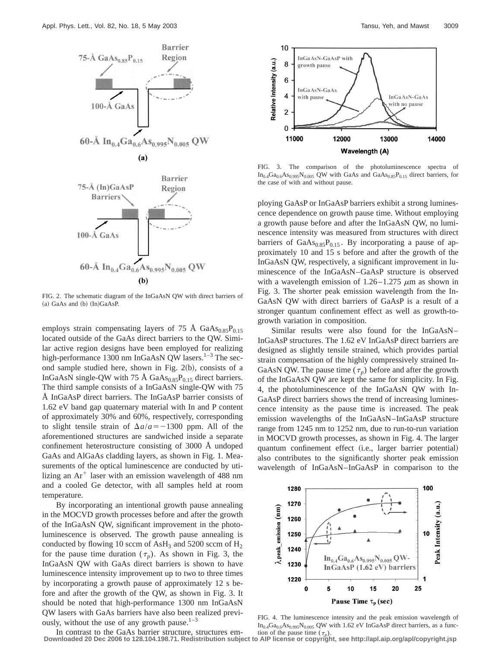

FIG. 2. The schematic diagram of the InGaAsN QW with direct barriers of  $(a)$  GaAs and  $(b)$   $(In)$ GaAsP.

employs strain compensating layers of 75 Å  $GaAs<sub>0.85</sub>P<sub>0.15</sub>$ located outside of the GaAs direct barriers to the QW. Similar active region designs have been employed for realizing high-performance 1300 nm InGaAsN QW lasers.<sup>1–3</sup> The second sample studied here, shown in Fig.  $2(b)$ , consists of a InGaAsN single-QW with 75 Å  $GaAs<sub>0.85</sub>P<sub>0.15</sub>$  direct barriers. The third sample consists of a InGaAsN single-QW with 75 Å InGaAsP direct barriers. The InGaAsP barrier consists of 1.62 eV band gap quaternary material with In and P content of approximately 30% and 60%, respectively, corresponding to slight tensile strain of  $\Delta a/a = -1300$  ppm. All of the aforementioned structures are sandwiched inside a separate confinement heterostructure consisting of 3000 Å undoped GaAs and AlGaAs cladding layers, as shown in Fig. 1. Measurements of the optical luminescence are conducted by utilizing an  $Ar^+$  laser with an emission wavelength of 488 nm and a cooled Ge detector, with all samples held at room temperature.

By incorporating an intentional growth pause annealing in the MOCVD growth processes before and after the growth of the InGaAsN QW, significant improvement in the photoluminescence is observed. The growth pause annealing is conducted by flowing 10 sccm of  $\text{AsH}_3$  and 5200 sccm of  $\text{H}_2$ for the pause time duration  $(\tau_p)$ . As shown in Fig. 3, the InGaAsN QW with GaAs direct barriers is shown to have luminescence intensity improvement up to two to three times by incorporating a growth pause of approximately 12 s before and after the growth of the QW, as shown in Fig. 3. It should be noted that high-performance 1300 nm InGaAsN QW lasers with GaAs barriers have also been realized previously, without the use of any growth pause. $1-3$ 



FIG. 3. The comparison of the photoluminescence spectra of  $In_{0.4}Ga_{0.6}As_{0.995}N_{0.005}$  QW with GaAs and GaAs<sub>0.85</sub>P<sub>0.15</sub> direct barriers, for the case of with and without pause.

ploying GaAsP or InGaAsP barriers exhibit a strong luminescence dependence on growth pause time. Without employing a growth pause before and after the InGaAsN QW, no luminescence intensity was measured from structures with direct barriers of  $GaAs<sub>0.85</sub>P<sub>0.15</sub>$ . By incorporating a pause of approximately 10 and 15 s before and after the growth of the InGaAsN QW, respectively, a significant improvement in luminescence of the InGaAsN–GaAsP structure is observed with a wavelength emission of  $1.26-1.275 \mu m$  as shown in Fig. 3. The shorter peak emission wavelength from the In-GaAsN QW with direct barriers of GaAsP is a result of a stronger quantum confinement effect as well as growth-togrowth variation in composition.

Similar results were also found for the InGaAsN– InGaAsP structures. The 1.62 eV InGaAsP direct barriers are designed as slightly tensile strained, which provides partial strain compensation of the highly compressively strained In-GaAsN QW. The pause time  $(\tau_n)$  before and after the growth of the InGaAsN QW are kept the same for simplicity. In Fig. 4, the photoluminescence of the InGaAsN QW with In-GaAsP direct barriers shows the trend of increasing luminescence intensity as the pause time is increased. The peak emission wavelengths of the InGaAsN–InGaAsP structure range from 1245 nm to 1252 nm, due to run-to-run variation in MOCVD growth processes, as shown in Fig. 4. The larger quantum confinement effect (i.e., larger barrier potential) also contributes to the significantly shorter peak emission wavelength of InGaAsN–InGaAsP in comparison to the



FIG. 4. The luminescence intensity and the peak emission wavelength of  $In_{0.4}Ga_{0.6}As_{0.995}N_{0.005}$  QW with 1.62 eV InGaAsP direct barriers, as a function of the pause time  $(\tau_n)$ .

In contrast to the GaAs barrier structure, structures em-**Downloaded 20 Dec 2006 to 128.104.198.71. Redistribution subject to AIP license or copyright, see http://apl.aip.org/apl/copyright.jsp**